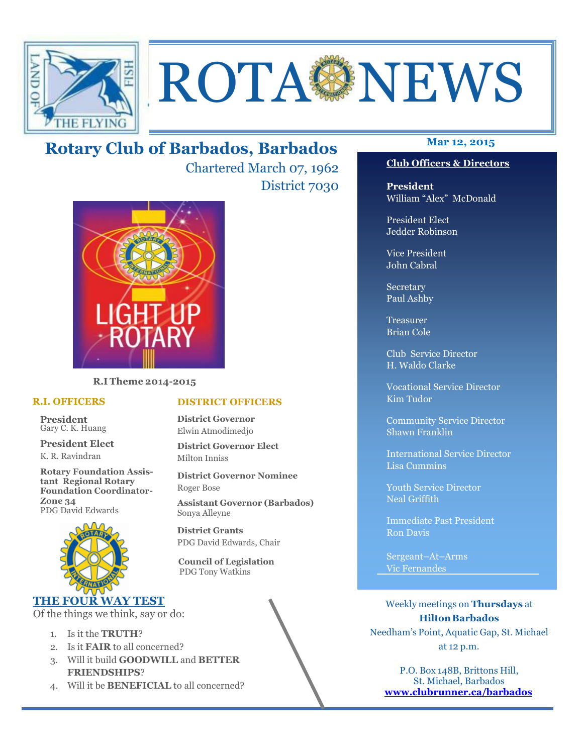

# ROTA NEWS

# **Mar 12, 2015 Rotary Club of Barbados, Barbados**

Chartered March 07, 1962 District 7030



**R.I Theme 2014-2015** 

#### **R.I. OFFICERS**

**President** Gary C. K. Huang

**President Elect** K. R. Ravindran

**Rotary Foundation Assistant Regional Rotary Foundation Coordinator-Zone 34**  PDG David Edwards



#### **THE FOUR WAY TEST**

Of the things we think, say or do:

- 1. Is it the **TRUTH**?
- 2. Is it **FAIR** to all concerned?
- 3. Will it build **GOODWILL** and **BETTER FRIENDSHIPS**?
- 4. Will it be **BENEFICIAL** to all concerned?

#### **Club Officers & Directors**

**President** William "Alex" McDonald

President Elect Jedder Robinson

Vice President John Cabral

Secretary Paul Ashby

Treasurer Brian Cole

Club Service Director H. Waldo Clarke

Vocational Service Director Kim Tudor

Community Service Director Shawn Franklin

International Service Director Lisa Cummins

Youth Service Director Neal Griffith

Immediate Past President Ron Davis

Sergeant–At–Arms Vic Fernandes

Weekly meetings on **Thursdays** at **Hilton Barbados** Needham's Point, Aquatic Gap, St. Michael at 12 p.m.

P.O. Box 148B, Brittons Hill, St. Michael, Barbados **www.clubrunner.ca/barbados**

#### **DISTRICT OFFICERS**

**District Governor** Elwin Atmodimedjo

**District Governor Elect** Milton Inniss

**District Governor Nominee**  Roger Bose

**Assistant Governor (Barbados)** Sonya Alleyne

**District Grants**  PDG David Edwards, Chair

 **Council of Legislation**  PDG Tony Watkins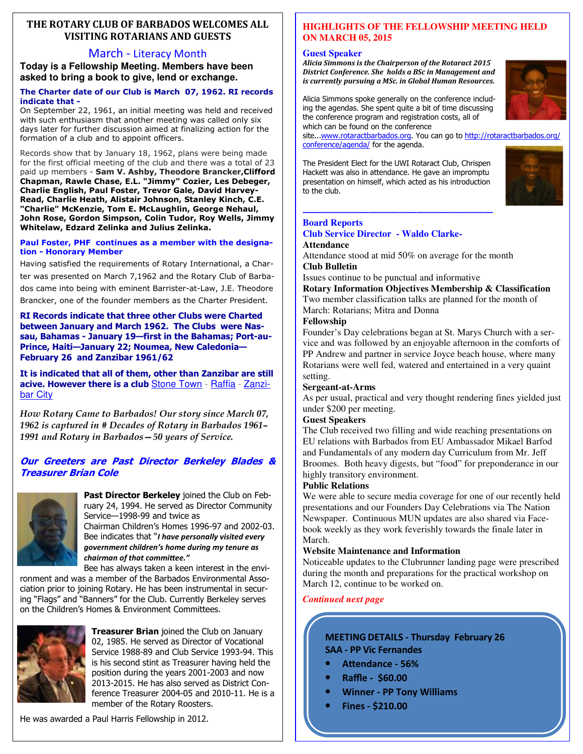#### **THE ROTARY CLUB OF BARBADOS WELCOMES ALL VISITING ROTARIANS AND GUESTS**

#### March - Literacy Month

**Today is a Fellowship Meeting. Members have been asked to bring a book to give, lend or exchange.** 

#### **The Charter date of our Club is March 07, 1962. RI records indicate that -**

On September 22, 1961, an initial meeting was held and received with such enthusiasm that another meeting was called only six days later for further discussion aimed at finalizing action for the formation of a club and to appoint officers.

Records show that by January 18, 1962, plans were being made for the first official meeting of the club and there was a total of 23 paid up members - **Sam V. Ashby, Theodore Brancker,Clifford Chapman, Rawle Chase, E.L. "Jimmy" Cozier, Les Debeger, Charlie English, Paul Foster, Trevor Gale, David Harvey-Read, Charlie Heath, Alistair Johnson, Stanley Kinch, C.E. "Charlie" McKenzie, Tom E. McLaughlin, George Nehaul, John Rose, Gordon Simpson, Colin Tudor, Roy Wells, Jimmy Whitelaw, Edzard Zelinka and Julius Zelinka.** 

#### **Paul Foster, PHF continues as a member with the designation - Honorary Member**

Having satisfied the requirements of Rotary International, a Charter was presented on March 7,1962 and the Rotary Club of Barbados came into being with eminent Barrister-at-Law, J.E. Theodore Brancker, one of the founder members as the Charter President.

#### **RI Records indicate that three other Clubs were Charted between January and March 1962. The Clubs were Nassau, Bahamas - January 19—first in the Bahamas; Port-au-Prince, Haiti—January 22; Noumea, New Caledonia— February 26 and Zanzibar 1961/62**

**It is indicated that all of them, other than Zanzibar are still acive. However there is a club** Stone Town - Raffia - Zanzibar City

*How Rotary Came to Barbados! Our story since March 07, 1962 is captured in # Decades of Rotary in Barbados 1961– 1991 and Rotary in Barbados—50 years of Service.* 

#### **Our Greeters are Past Director Berkeley Blades & Treasurer Brian Cole**



**Past Director Berkeley** joined the Club on February 24, 1994. He served as Director Community Service—1998-99 and twice as

Chairman Children's Homes 1996-97 and 2002-03. Bee indicates that "*I have personally visited every government children's home during my tenure as*   $chainman$  of that committee."

Bee has always taken a keen interest in the environment and was a member of the Barbados Environmental Association prior to joining Rotary. He has been instrumental in securing "Flags" and "Banners" for the Club. Currently Berkeley serves on the Children's Homes & Environment Committees.



**Treasurer Brian** joined the Club on January 02, 1985. He served as Director of Vocational Service 1988-89 and Club Service 1993-94. This is his second stint as Treasurer having held the position during the years 2001-2003 and now 2013-2015. He has also served as District Conference Treasurer 2004-05 and 2010-11. He is a member of the Rotary Roosters.

He was awarded a Paul Harris Fellowship in 2012.

#### **HIGHLIGHTS OF THE FELLOWSHIP MEETING HELD ON MARCH 05, 2015**

#### **Guest Speaker**

Alicia Simmons is the Chairperson of the Rotaract 2015 **District Conference. She holds a BSc in Management and** *is currently pursuing a MSc. in Global Human Resources.* 



Alicia Simmons spoke generally on the conference including the agendas. She spent quite a bit of time discussing the conference program and registration costs, all of which can be found on the conference

site...www.rotaractbarbados.org. You can go to http://rotaractbarbados.org/ conference/agenda/ for the agenda.

The President Elect for the UWI Rotaract Club, Chrispen Hackett was also in attendance. He gave an impromptu presentation on himself, which acted as his introduction to the club.

**————————————————————** 



#### **Board Reports**

#### **Club Service Director - Waldo Clarke-Attendance**

Attendance stood at mid 50% on average for the month **Club Bulletin** 

Issues continue to be punctual and informative

**Rotary Information Objectives Membership & Classification** Two member classification talks are planned for the month of March: Rotarians; Mitra and Donna

#### **Fellowship**

Founder's Day celebrations began at St. Marys Church with a service and was followed by an enjoyable afternoon in the comforts of PP Andrew and partner in service Joyce beach house, where many Rotarians were well fed, watered and entertained in a very quaint setting.

#### **Sergeant-at-Arms**

As per usual, practical and very thought rendering fines yielded just under \$200 per meeting.

#### **Guest Speakers**

The Club received two filling and wide reaching presentations on EU relations with Barbados from EU Ambassador Mikael Barfod and Fundamentals of any modern day Curriculum from Mr. Jeff Broomes. Both heavy digests, but "food" for preponderance in our highly transitory environment.

#### **Public Relations**

We were able to secure media coverage for one of our recently held presentations and our Founders Day Celebrations via The Nation Newspaper. Continuous MUN updates are also shared via Facebook weekly as they work feverishly towards the finale later in March.

#### **Website Maintenance and Information**

Noticeable updates to the Clubrunner landing page were prescribed during the month and preparations for the practical workshop on March 12, continue to be worked on.

#### *Continued next page*

#### **MEETING DETAILS - Thursday February 26 SAA - PP Vic Fernandes**

- Attendance 56%
- **Raffle \$60.00**
- **Winner PP Tony Williams**
- **Fines \$210.00**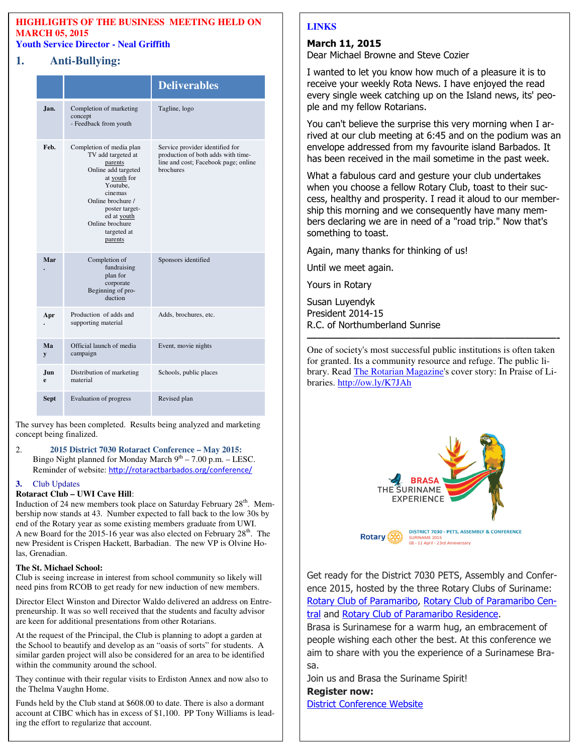#### **HIGHLIGHTS OF THE BUSINESS MEETING HELD ON MARCH 05, 2015 Youth Service Director - Neal Griffith**

#### **1. Anti-Bullying:**

|             |                                                                                                                                                                                                                            | <b>Deliverables</b>                                                                                                        |
|-------------|----------------------------------------------------------------------------------------------------------------------------------------------------------------------------------------------------------------------------|----------------------------------------------------------------------------------------------------------------------------|
| Jan.        | Completion of marketing<br>concept<br>- Feedback from youth                                                                                                                                                                | Tagline, logo                                                                                                              |
| Feb.        | Completion of media plan<br>TV add targeted at<br>parents<br>Online add targeted<br>at youth for<br>Youtube,<br>cinemas<br>Online brochure /<br>poster target-<br>ed at youth<br>Online brochure<br>targeted at<br>parents | Service provider identified for<br>production of both adds with time-<br>line and cost; Facebook page; online<br>brochures |
| Mar         | Completion of<br>fundraising<br>plan for<br>corporate<br>Beginning of pro-<br>duction                                                                                                                                      | Sponsors identified                                                                                                        |
| Apr         | Production of adds and<br>supporting material                                                                                                                                                                              | Adds, brochures, etc.                                                                                                      |
| Ma<br>y     | Official launch of media<br>campaign                                                                                                                                                                                       | Event, movie nights                                                                                                        |
| Jun<br>e    | Distribution of marketing<br>material                                                                                                                                                                                      | Schools, public places                                                                                                     |
| <b>Sept</b> | Evaluation of progress                                                                                                                                                                                                     | Revised plan                                                                                                               |

The survey has been completed. Results being analyzed and marketing concept being finalized.

#### 2. **2015 District 7030 Rotaract Conference – May 2015:**  Bingo Night planned for Monday March  $9<sup>th</sup> - 7.00$  p.m. – LESC.

Reminder of website: http://rotaractbarbados.org/conference/

#### **3.** Club Updates

#### **Rotaract Club – UWI Cave Hill**:

Induction of 24 new members took place on Saturday February 28<sup>th</sup>. Membership now stands at 43. Number expected to fall back to the low 30s by end of the Rotary year as some existing members graduate from UWI. A new Board for the 2015-16 year was also elected on February  $28<sup>th</sup>$ . The new President is Crispen Hackett, Barbadian. The new VP is Olvine Holas, Grenadian.

#### **The St. Michael School:**

Club is seeing increase in interest from school community so likely will need pins from RCOB to get ready for new induction of new members.

Director Elect Winston and Director Waldo delivered an address on Entrepreneurship. It was so well received that the students and faculty advisor are keen for additional presentations from other Rotarians.

At the request of the Principal, the Club is planning to adopt a garden at the School to beautify and develop as an "oasis of sorts" for students. A similar garden project will also be considered for an area to be identified within the community around the school.

They continue with their regular visits to Erdiston Annex and now also to the Thelma Vaughn Home.

account at CIBC which has in excess of<br>ing the effort to regularize that account. Funds held by the Club stand at \$608.00 to date. There is also a dormant account at CIBC which has in excess of \$1,100. PP Tony Williams is lead-

### **LINKS**

#### **March 11, 2015**

Dear Michael Browne and Steve Cozier

I wanted to let you know how much of a pleasure it is to receive your weekly Rota News. I have enjoyed the read every single week catching up on the Island news, its' people and my fellow Rotarians.

You can't believe the surprise this very morning when I arrived at our club meeting at 6:45 and on the podium was an envelope addressed from my favourite island Barbados. It has been received in the mail sometime in the past week.

What a fabulous card and gesture your club undertakes when you choose a fellow Rotary Club, toast to their success, healthy and prosperity. I read it aloud to our membership this morning and we consequently have many members declaring we are in need of a "road trip." Now that's something to toast.

Again, many thanks for thinking of us!

Until we meet again.

Yours in Rotary

Susan Luyendyk President 2014-15 R.C. of Northumberland Sunrise

————————————————————————- One of society's most successful public institutions is often taken for granted. Its a community resource and refuge. The public library. Read The Rotarian Magazine's cover story: In Praise of Libraries. http://ow.ly/K7JAh



DISTRICT 7030 - PETS, ASSEMBLY & CONFERENCE **Rotary** SURINAME 2015<br>08 - 11 April - 23rd Anniversary

Get ready for the District 7030 PETS, Assembly and Conference 2015, hosted by the three Rotary Clubs of Suriname: Rotary Club of Paramaribo, Rotary Club of Paramaribo Central and Rotary Club of Paramaribo Residence.

Brasa is Surinamese for a warm hug, an embracement of people wishing each other the best. At this conference we aim to share with you the experience of a Surinamese Brasa.

Join us and Brasa the Suriname Spirit!

**Register now:**

District Conference Website